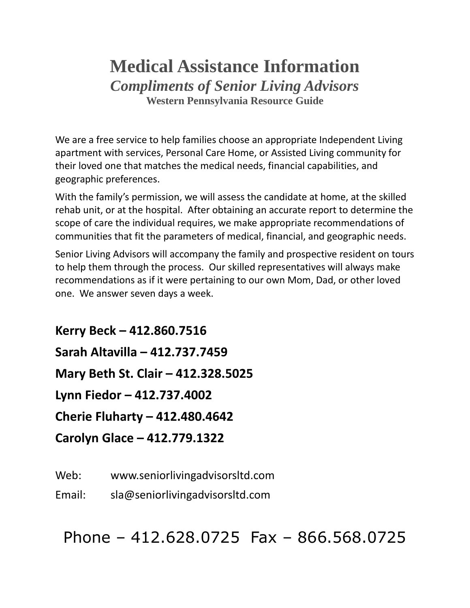# **Medical Assistance Information** *Compliments of Senior Living Advisors* **Western Pennsylvania Resource Guide**

We are a free service to help families choose an appropriate Independent Living apartment with services, Personal Care Home, or Assisted Living community for their loved one that matches the medical needs, financial capabilities, and geographic preferences.

With the family's permission, we will assess the candidate at home, at the skilled rehab unit, or at the hospital. After obtaining an accurate report to determine the scope of care the individual requires, we make appropriate recommendations of communities that fit the parameters of medical, financial, and geographic needs.

Senior Living Advisors will accompany the family and prospective resident on tours to help them through the process. Our skilled representatives will always make recommendations as if it were pertaining to our own Mom, Dad, or other loved one. We answer seven days a week.

**Kerry Beck – 412.860.7516 Sarah Altavilla – 412.737.7459 Mary Beth St. Clair – 412.328.5025 Lynn Fiedor – 412.737.4002 Cherie Fluharty – 412.480.4642 Carolyn Glace – 412.779.1322**

Web: www.seniorlivingadvisorsltd.com

Email: sla@seniorlivingadvisorsltd.com

Phone – 412.628.0725 Fax – 866.568.0725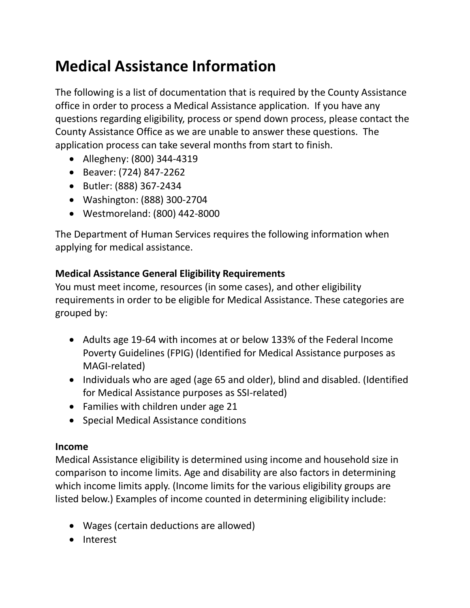# **Medical Assistance Information**

The following is a list of documentation that is required by the County Assistance office in order to process a Medical Assistance application. If you have any questions regarding eligibility, process or spend down process, please contact the County Assistance Office as we are unable to answer these questions. The application process can take several months from start to finish.

- Allegheny: (800) 344-4319
- Beaver: (724) 847-2262
- Butler: (888) 367-2434
- Washington: (888) 300-2704
- Westmoreland: (800) 442-8000

The Department of Human Services requires the following information when applying for medical assistance.

## **Medical Assistance General Eligibility Requirements**

You must meet income, resources (in some cases), and other eligibility requirements in order to be eligible for Medical Assistance. These categories are grouped by:

- Adults age 19-64 with incomes at or below 133% of the Federal Income Poverty Guidelines (FPIG) (Identified for Medical Assistance purposes as MAGI-related)
- Individuals who are aged (age 65 and older), blind and disabled. (Identified for Medical Assistance purposes as SSI-related)
- Families with children under age 21
- Special Medical Assistance conditions

## **Income**

Medical Assistance eligibility is determined using income and household size in comparison to income limits. Age and disability are also factors in determining which income limits apply. (Income limits for the various eligibility groups are listed below.) Examples of income counted in determining eligibility include:

- Wages (certain deductions are allowed)
- Interest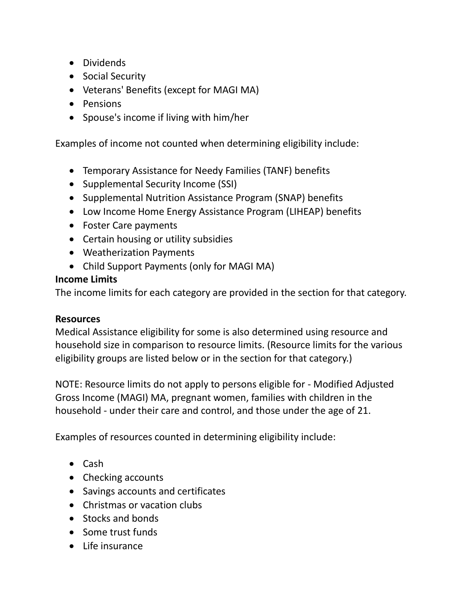- Dividends
- Social Security
- Veterans' Benefits (except for MAGI MA)
- Pensions
- Spouse's income if living with him/her

Examples of income not counted when determining eligibility include:

- Temporary Assistance for Needy Families (TANF) benefits
- Supplemental Security Income (SSI)
- Supplemental Nutrition Assistance Program (SNAP) benefits
- Low Income Home Energy Assistance Program (LIHEAP) benefits
- Foster Care payments
- Certain housing or utility subsidies
- Weatherization Payments
- Child Support Payments (only for MAGI MA)

## **Income Limits**

The income limits for each category are provided in the section for that category.

## **Resources**

Medical Assistance eligibility for some is also determined using resource and household size in comparison to resource limits. (Resource limits for the various eligibility groups are listed below or in the section for that category.)

NOTE: Resource limits do not apply to persons eligible for - Modified Adjusted Gross Income (MAGI) MA, pregnant women, families with children in the household - under their care and control, and those under the age of 21.

Examples of resources counted in determining eligibility include:

- Cash
- Checking accounts
- Savings accounts and certificates
- Christmas or vacation clubs
- Stocks and bonds
- Some trust funds
- Life insurance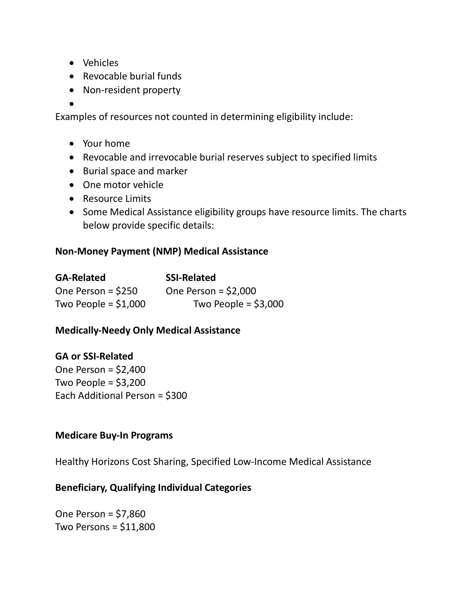- Vehicles
- Revocable burial funds
- Non-resident property
- •

Examples of resources not counted in determining eligibility include:

- Your home
- Revocable and irrevocable burial reserves subject to specified limits
- Burial space and marker
- One motor vehicle
- Resource Limits
- Some Medical Assistance eligibility groups have resource limits. The charts below provide specific details:

#### **Non-Money Payment (NMP) Medical Assistance**

| <b>GA-Related</b>     | <b>SSI-Related</b>    |
|-----------------------|-----------------------|
| One Person = $$250$   | One Person = $$2,000$ |
| Two People = $$1,000$ | Two People = $$3,000$ |

## **Medically-Needy Only Medical Assistance**

#### **GA or SSI-Related**

One Person = \$2,400 Two People =  $$3,200$ Each Additional Person = \$300

#### **Medicare Buy-In Programs**

Healthy Horizons Cost Sharing, Specified Low-Income Medical Assistance

#### **Beneficiary, Qualifying Individual Categories**

One Person = \$7,860 Two Persons = \$11,800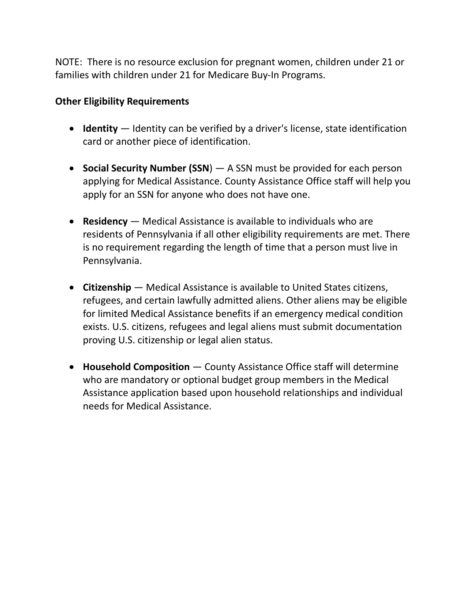NOTE: There is no resource exclusion for pregnant women, children under 21 or families with children under 21 for Medicare Buy-In Programs.

## **Other Eligibility Requirements**

- **Identity** Identity can be verified by a driver's license, state identification card or another piece of identification.
- **Social Security Number (SSN**) A SSN must be provided for each person applying for Medical Assistance. County Assistance Office staff will help you apply for an SSN for anyone who does not have one.
- **Residency** Medical Assistance is available to individuals who are residents of Pennsylvania if all other eligibility requirements are met. There is no requirement regarding the length of time that a person must live in Pennsylvania.
- **Citizenship** Medical Assistance is available to United States citizens, refugees, and certain lawfully admitted aliens. Other aliens may be eligible for limited Medical Assistance benefits if an emergency medical condition exists. U.S. citizens, refugees and legal aliens must submit documentation proving U.S. citizenship or legal alien status.
- **Household Composition** County Assistance Office staff will determine who are mandatory or optional budget group members in the Medical Assistance application based upon household relationships and individual needs for Medical Assistance.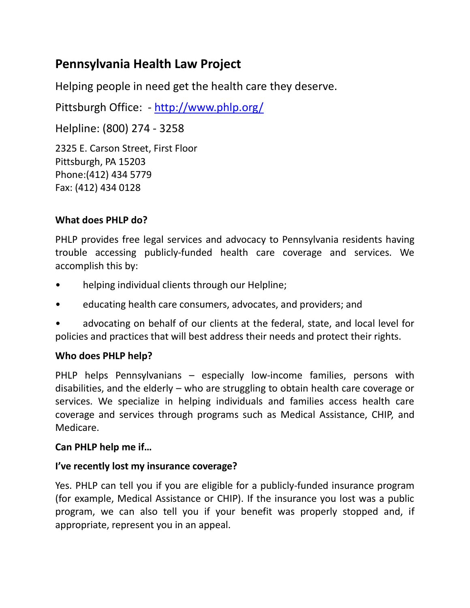# **Pennsylvania Health Law Project**

Helping people in need get the health care they deserve.

Pittsburgh Office: - <http://www.phlp.org/>

Helpline: (800) 274 - 3258 2325 E. Carson Street, First Floor Pittsburgh, PA 15203 Phone:(412) 434 5779 Fax: (412) 434 0128

## **What does PHLP do?**

PHLP provides free legal services and advocacy to Pennsylvania residents having trouble accessing publicly-funded health care coverage and services. We accomplish this by:

- helping individual clients through our Helpline;
- educating health care consumers, advocates, and providers; and
- advocating on behalf of our clients at the federal, state, and local level for policies and practices that will best address their needs and protect their rights.

## **Who does PHLP help?**

PHLP helps Pennsylvanians – especially low-income families, persons with disabilities, and the elderly – who are struggling to obtain health care coverage or services. We specialize in helping individuals and families access health care coverage and services through programs such as Medical Assistance, CHIP, and Medicare.

## **Can PHLP help me if…**

## **I've recently lost my insurance coverage?**

Yes. PHLP can tell you if you are eligible for a publicly-funded insurance program (for example, Medical Assistance or CHIP). If the insurance you lost was a public program, we can also tell you if your benefit was properly stopped and, if appropriate, represent you in an appeal.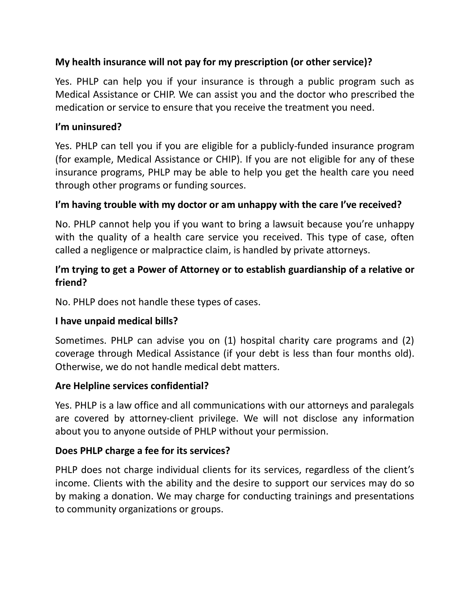## **My health insurance will not pay for my prescription (or other service)?**

Yes. PHLP can help you if your insurance is through a public program such as Medical Assistance or CHIP. We can assist you and the doctor who prescribed the medication or service to ensure that you receive the treatment you need.

## **I'm uninsured?**

Yes. PHLP can tell you if you are eligible for a publicly-funded insurance program (for example, Medical Assistance or CHIP). If you are not eligible for any of these insurance programs, PHLP may be able to help you get the health care you need through other programs or funding sources.

## **I'm having trouble with my doctor or am unhappy with the care I've received?**

No. PHLP cannot help you if you want to bring a lawsuit because you're unhappy with the quality of a health care service you received. This type of case, often called a negligence or malpractice claim, is handled by private attorneys.

## **I'm trying to get a Power of Attorney or to establish guardianship of a relative or friend?**

No. PHLP does not handle these types of cases.

## **I have unpaid medical bills?**

Sometimes. PHLP can advise you on (1) hospital charity care programs and (2) coverage through Medical Assistance (if your debt is less than four months old). Otherwise, we do not handle medical debt matters.

## **Are Helpline services confidential?**

Yes. PHLP is a law office and all communications with our attorneys and paralegals are covered by attorney-client privilege. We will not disclose any information about you to anyone outside of PHLP without your permission.

## **Does PHLP charge a fee for its services?**

PHLP does not charge individual clients for its services, regardless of the client's income. Clients with the ability and the desire to support our services may do so by making a donation. We may charge for conducting trainings and presentations to community organizations or groups.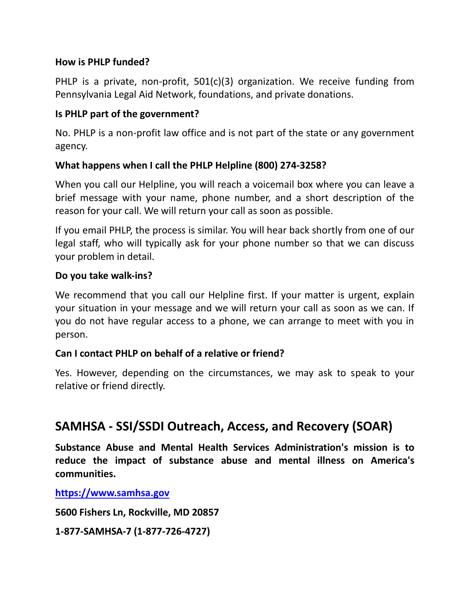## **How is PHLP funded?**

PHLP is a private, non-profit, 501(c)(3) organization. We receive funding from Pennsylvania Legal Aid Network, foundations, and private donations.

## **Is PHLP part of the government?**

No. PHLP is a non-profit law office and is not part of the state or any government agency.

## **What happens when I call the PHLP Helpline (800) 274-3258?**

When you call our Helpline, you will reach a voicemail box where you can leave a brief message with your name, phone number, and a short description of the reason for your call. We will return your call as soon as possible.

If you email PHLP, the process is similar. You will hear back shortly from one of our legal staff, who will typically ask for your phone number so that we can discuss your problem in detail.

## **Do you take walk-ins?**

We recommend that you call our Helpline first. If your matter is urgent, explain your situation in your message and we will return your call as soon as we can. If you do not have regular access to a phone, we can arrange to meet with you in person.

## **Can I contact PHLP on behalf of a relative or friend?**

Yes. However, depending on the circumstances, we may ask to speak to your relative or friend directly.

## **SAMHSA - SSI/SSDI Outreach, Access, and Recovery (SOAR)**

**Substance Abuse and Mental Health Services Administration's mission is to reduce the impact of substance abuse and mental illness on America's communities.**

**[https://www.samhsa.gov](https://www.samhsa.gov/)**

**5600 Fishers Ln, Rockville, MD 20857**

**1-877-SAMHSA-7 (1-877-726-4727)**